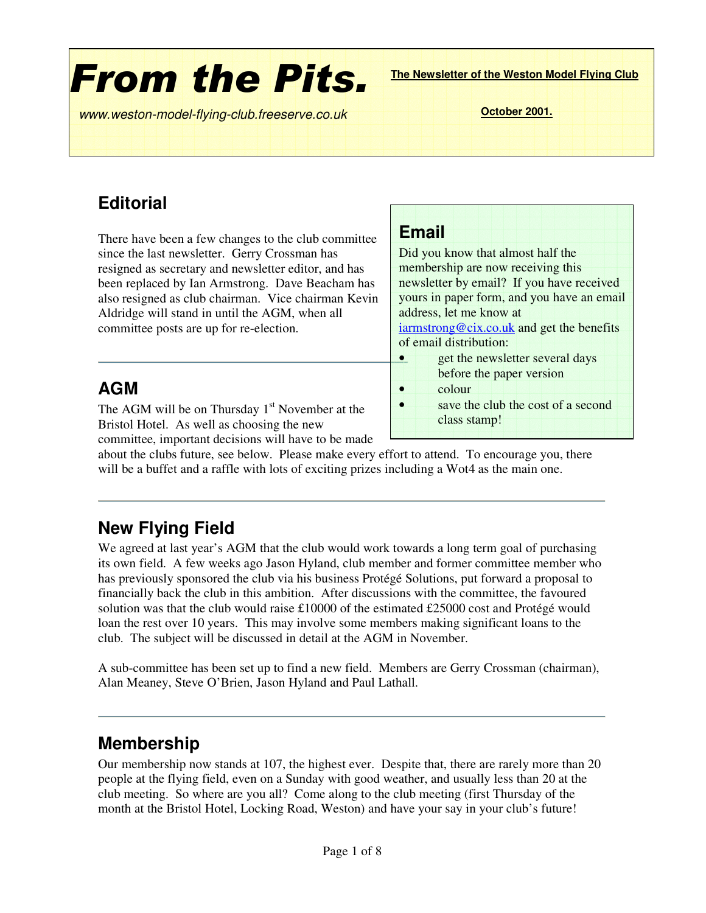# **From the Pits.**

**The Newsletter of the Weston Model Flying Club**

*www* **October 2001.** *.weston-model-flying-club.freeserve.co.uk*

### **Editorial**

There have been a few changes to the club committee since the last newsletter. Gerry Crossman has resigned as secretary and newsletter editor, and has been replaced by Ian Armstrong. Dave Beacham has also resigned as club chairman. Vice chairman Kevin Aldridge will stand in until the AGM, when all committee posts are up for re-election.

### **Email**

Did you know that almost half the membership are now receiving this newsletter by email? If you have received yours in paper form, and you have an email address, let me know at iarmstrong@cix.co.uk and get the benefits of email distribution: • get the newsletter several days before the paper version • colour

• save the club the cost of a second class stamp!

### **AGM**

The AGM will be on Thursday  $1<sup>st</sup>$  November at the Bristol Hotel. As well as choosing the new committee, important decisions will have to be made

about the clubs future, see below. Please make every effort to attend. To encourage you, there will be a buffet and a raffle with lots of exciting prizes including a Wot4 as the main one.

### **New Flying Field**

We agreed at last year's AGM that the club would work towards a long term goal of purchasing its own field. A few weeks ago Jason Hyland, club member and former committee member who has previously sponsored the club via his business Protégé Solutions, put forward a proposal to financially back the club in this ambition. After discussions with the committee, the favoured solution was that the club would raise £10000 of the estimated £25000 cost and Protégé would loan the rest over 10 years. This may involve some members making significant loans to the club. The subject will be discussed in detail at the AGM in November.

A sub-committee has been set up to find a new field. Members are Gerry Crossman (chairman), Alan Meaney, Steve O'Brien, Jason Hyland and Paul Lathall.

### **Membership**

Our membership now stands at 107, the highest ever. Despite that, there are rarely more than 20 people at the flying field, even on a Sunday with good weather, and usually less than 20 at the club meeting. So where are you all? Come along to the club meeting (first Thursday of the month at the Bristol Hotel, Locking Road, Weston) and have your say in your club's future!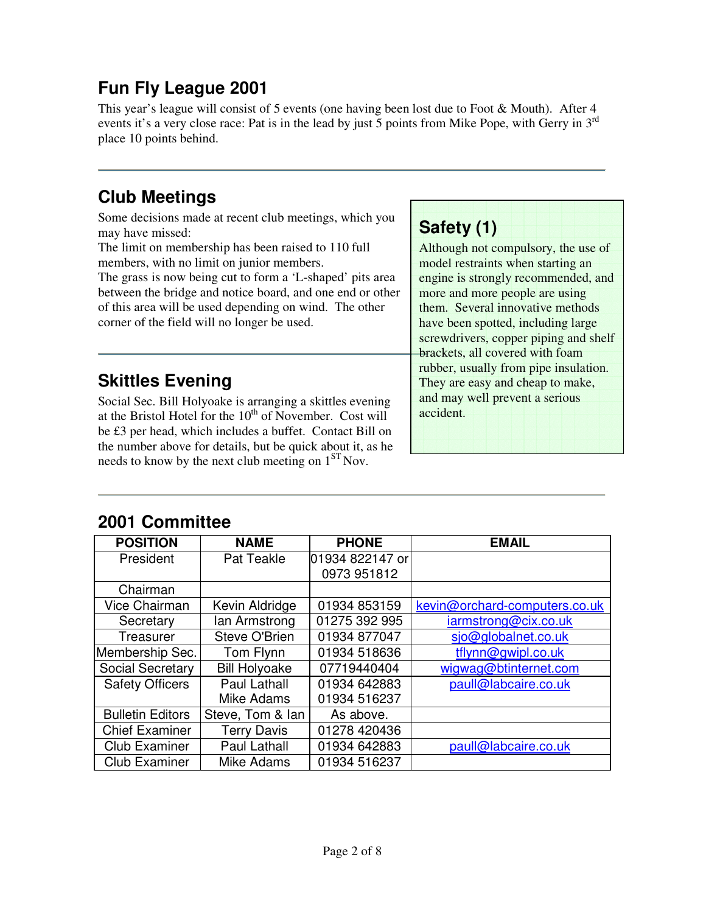### **Fun Fly League 2001**

This year's league will consist of 5 events (one having been lost due to Foot & Mouth). After 4 events it's a very close race: Pat is in the lead by just 5 points from Mike Pope, with Gerry in  $3^{rd}$ place 10 points behind.

### **Club Meetings**

Some decisions made at recent club meetings, which you may have missed:

The limit on membership has been raised to 110 full members, with no limit on junior members.

The grass is now being cut to form a 'L-shaped' pits area between the bridge and notice board, and one end or other of this area will be used depending on wind. The other corner of the field will no longer be used.

### **Skittles Evening**

Social Sec. Bill Holyoake is arranging a skittles evening at the Bristol Hotel for the  $10<sup>th</sup>$  of November. Cost will be £3 per head, which includes a buffet. Contact Bill on the number above for details, but be quick about it, as he needs to know by the next club meeting on  $1<sup>ST</sup>$  Nov.

### **Safety (1)**

Although not compulsory, the use of model restraints when starting an engine is strongly recommended, and more and more people are using them. Several innovative methods have been spotted, including large screwdrivers, copper piping and shelf brackets, all covered with foam rubber, usually from pipe insulation. They are easy and cheap to make, and may well prevent a serious accident.

### **2001 Committee**

| <b>POSITION</b>         | <b>NAME</b>          | <b>PHONE</b>    | <b>EMAIL</b>                  |  |
|-------------------------|----------------------|-----------------|-------------------------------|--|
| President               | Pat Teakle           | 01934 822147 or |                               |  |
|                         |                      | 0973 951812     |                               |  |
| Chairman                |                      |                 |                               |  |
| Vice Chairman           | Kevin Aldridge       | 01934 853159    | kevin@orchard-computers.co.uk |  |
| Secretary               | lan Armstrong        | 01275 392 995   | iarmstrong@cix.co.uk          |  |
| Treasurer               | Steve O'Brien        | 01934 877047    | sjo@globalnet.co.uk           |  |
| Membership Sec.         | Tom Flynn            | 01934 518636    | tflynn@gwipl.co.uk            |  |
| <b>Social Secretary</b> | <b>Bill Holyoake</b> | 07719440404     | wigwag@btinternet.com         |  |
| <b>Safety Officers</b>  | <b>Paul Lathall</b>  | 01934 642883    | paull@labcaire.co.uk          |  |
|                         | Mike Adams           | 01934 516237    |                               |  |
| <b>Bulletin Editors</b> | Steve, Tom & lan     | As above.       |                               |  |
| <b>Chief Examiner</b>   | <b>Terry Davis</b>   | 01278 420436    |                               |  |
| <b>Club Examiner</b>    | Paul Lathall         | 01934 642883    | paull@labcaire.co.uk          |  |
| <b>Club Examiner</b>    | Mike Adams           | 01934 516237    |                               |  |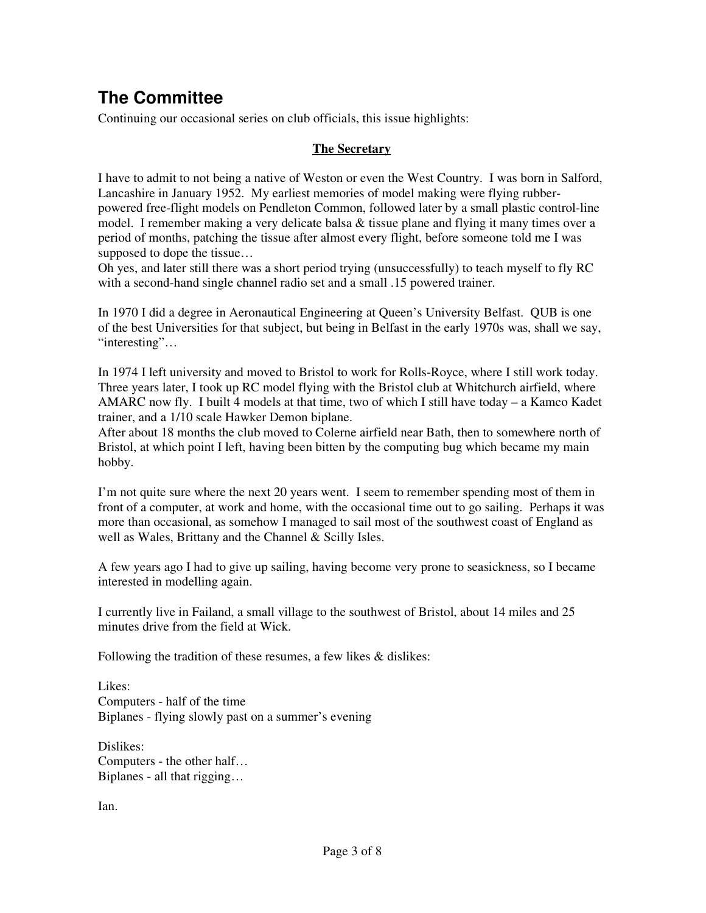### **The Committee**

Continuing our occasional series on club officials, this issue highlights:

#### **The Secretary**

I have to admit to not being a native of Weston or even the West Country. I was born in Salford, Lancashire in January 1952. My earliest memories of model making were flying rubberpowered free-flight models on Pendleton Common, followed later by a small plastic control-line model. I remember making a very delicate balsa & tissue plane and flying it many times over a period of months, patching the tissue after almost every flight, before someone told me I was supposed to dope the tissue…

Oh yes, and later still there was a short period trying (unsuccessfully) to teach myself to fly RC with a second-hand single channel radio set and a small  $.15$  powered trainer.

In 1970 I did a degree in Aeronautical Engineering at Queen's University Belfast. QUB is one of the best Universities for that subject, but being in Belfast in the early 1970s was, shall we say, "interesting"…

In 1974 I left university and moved to Bristol to work for Rolls-Royce, where I still work today. Three years later, I took up RC model flying with the Bristol club at Whitchurch airfield, where AMARC now fly. I built 4 models at that time, two of which I still have today – a Kamco Kadet trainer, and a 1/10 scale Hawker Demon biplane.

After about 18 months the club moved to Colerne airfield near Bath, then to somewhere north of Bristol, at which point I left, having been bitten by the computing bug which became my main hobby.

I'm not quite sure where the next 20 years went. I seem to remember spending most of them in front of a computer, at work and home, with the occasional time out to go sailing. Perhaps it was more than occasional, as somehow I managed to sail most of the southwest coast of England as well as Wales, Brittany and the Channel & Scilly Isles.

A few years ago I had to give up sailing, having become very prone to seasickness, so I became interested in modelling again.

I currently live in Failand, a small village to the southwest of Bristol, about 14 miles and 25 minutes drive from the field at Wick.

Following the tradition of these resumes, a few likes & dislikes:

Likes: Computers - half of the time Biplanes - flying slowly past on a summer's evening

Dislikes: Computers - the other half… Biplanes - all that rigging…

Ian.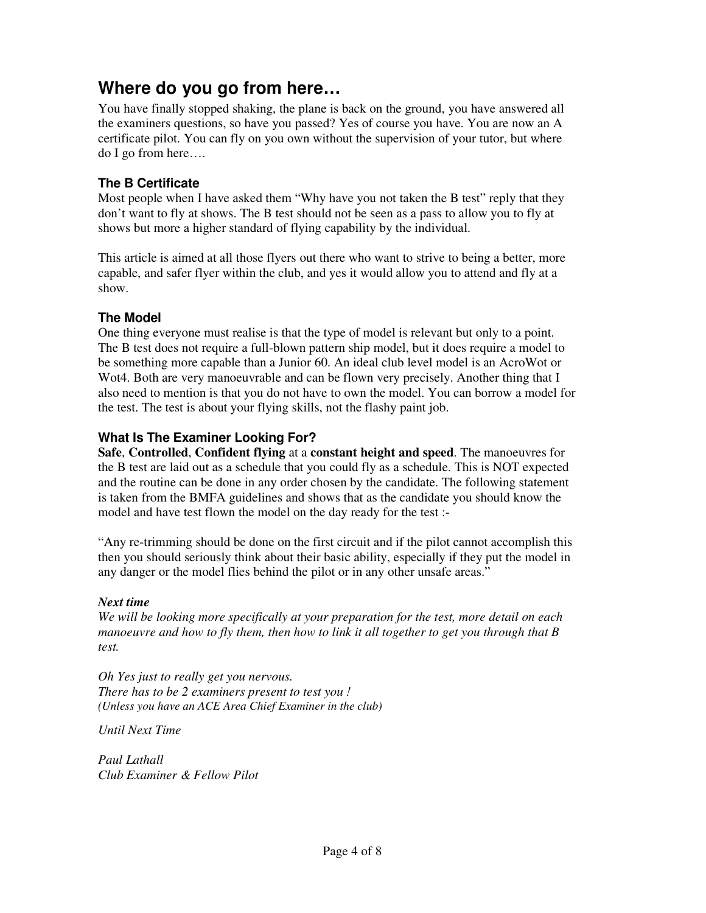### **Where do you go from here…**

You have finally stopped shaking, the plane is back on the ground, you have answered all the examiners questions, so have you passed? Yes of course you have. You are now an A certificate pilot. You can fly on you own without the supervision of your tutor, but where do I go from here….

#### **The B Certificate**

Most people when I have asked them "Why have you not taken the B test" reply that they don't want to fly at shows. The B test should not be seen as a pass to allow you to fly at shows but more a higher standard of flying capability by the individual.

This article is aimed at all those flyers out there who want to strive to being a better, more capable, and safer flyer within the club, and yes it would allow you to attend and fly at a show.

#### **The Model**

One thing everyone must realise is that the type of model is relevant but only to a point. The B test does not require a full-blown pattern ship model, but it does require a model to be something more capable than a Junior 60. An ideal club level model is an AcroWot or Wot4. Both are very manoeuvrable and can be flown very precisely. Another thing that I also need to mention is that you do not have to own the model. You can borrow a model for the test. The test is about your flying skills, not the flashy paint job.

#### **What Is The Examiner Looking For?**

**Safe**, **Controlled**, **Confident flying** at a **constant height and speed**. The manoeuvres for the B test are laid out as a schedule that you could fly as a schedule. This is NOT expected and the routine can be done in any order chosen by the candidate. The following statement is taken from the BMFA guidelines and shows that as the candidate you should know the model and have test flown the model on the day ready for the test :-

"Any re-trimming should be done on the first circuit and if the pilot cannot accomplish this then you should seriously think about their basic ability, especially if they put the model in any danger or the model flies behind the pilot or in any other unsafe areas."

#### *Next time*

*We will be looking more specifically at your preparation for the test, more detail on each manoeuvre and how to fly them, then how to link it all together to get you through that B test.*

*Oh Yes just to really get you nervous. There has to be 2 examiners present to test you ! (Unless you have an ACE Area Chief Examiner in the club)*

*Until Next Time*

*Paul Lathall Club Examiner & Fellow Pilot*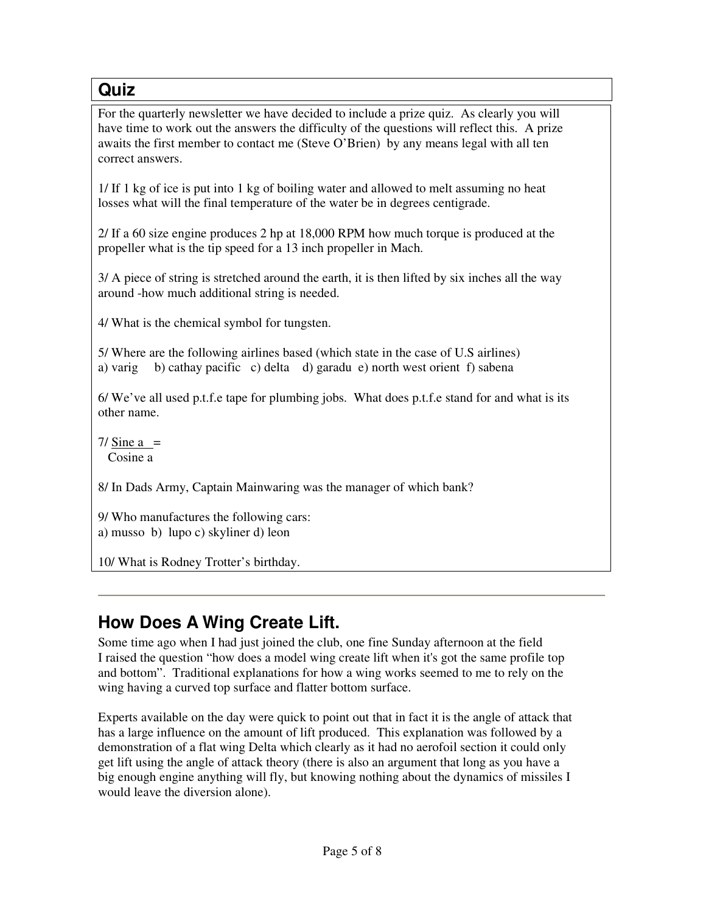### **Quiz**

For the quarterly newsletter we have decided to include a prize quiz. As clearly you will have time to work out the answers the difficulty of the questions will reflect this. A prize awaits the first member to contact me (Steve O'Brien) by any means legal with all ten correct answers.

1/ If 1 kg of ice is put into 1 kg of boiling water and allowed to melt assuming no heat losses what will the final temperature of the water be in degrees centigrade.

2/ If a 60 size engine produces 2 hp at 18,000 RPM how much torque is produced at the propeller what is the tip speed for a 13 inch propeller in Mach.

3/ A piece of string is stretched around the earth, it is then lifted by six inches all the way around -how much additional string is needed.

4/ What is the chemical symbol for tungsten.

5/ Where are the following airlines based (which state in the case of U.S airlines) a) varig b) cathay pacific c) delta d) garadu e) north west orient f) sabena

6/ We've all used p.t.f.e tape for plumbing jobs. What does p.t.f.e stand for and what is its other name.

 $7/$  Sine a = Cosine a

8/ In Dads Army, Captain Mainwaring was the manager of which bank?

9/ Who manufactures the following cars: a) musso b) lupo c) skyliner d) leon

10/ What is Rodney Trotter's birthday.

### **How Does A Wing Create Lift.**

Some time ago when I had just joined the club, one fine Sunday afternoon at the field I raised the question "how does a model wing create lift when it's got the same profile top and bottom". Traditional explanations for how a wing works seemed to me to rely on the wing having a curved top surface and flatter bottom surface.

Experts available on the day were quick to point out that in fact it is the angle of attack that has a large influence on the amount of lift produced. This explanation was followed by a demonstration of a flat wing Delta which clearly as it had no aerofoil section it could only get lift using the angle of attack theory (there is also an argument that long as you have a big enough engine anything will fly, but knowing nothing about the dynamics of missiles I would leave the diversion alone).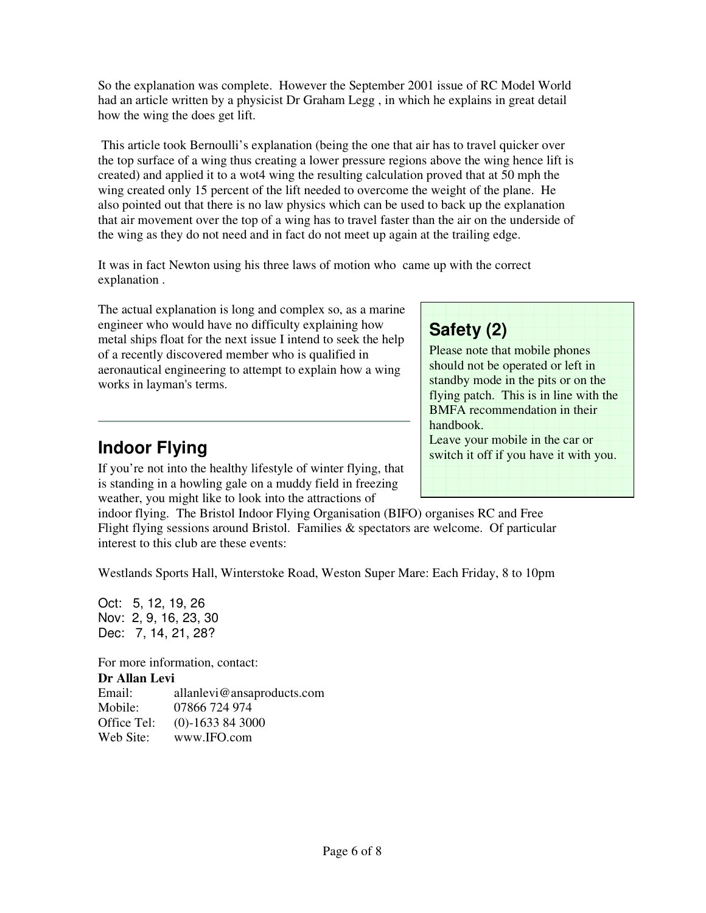So the explanation was complete. However the September 2001 issue of RC Model World had an article written by a physicist Dr Graham Legg , in which he explains in great detail how the wing the does get lift.

This article took Bernoulli's explanation (being the one that air has to travel quicker over the top surface of a wing thus creating a lower pressure regions above the wing hence lift is created) and applied it to a wot4 wing the resulting calculation proved that at 50 mph the wing created only 15 percent of the lift needed to overcome the weight of the plane. He also pointed out that there is no law physics which can be used to back up the explanation that air movement over the top of a wing has to travel faster than the air on the underside of the wing as they do not need and in fact do not meet up again at the trailing edge.

It was in fact Newton using his three laws of motion who came up with the correct explanation .

The actual explanation is long and complex so, as a marine engineer who would have no difficulty explaining how metal ships float for the next issue I intend to seek the help of a recently discovered member who is qualified in aeronautical engineering to attempt to explain how a wing works in layman's terms.

### **Indoor Flying**

If you're not into the healthy lifestyle of winter flying, that is standing in a howling gale on a muddy field in freezing weather, you might like to look into the attractions of

indoor flying. The Bristol Indoor Flying Organisation (BIFO) organises RC and Free Flight flying sessions around Bristol. Families & spectators are welcome. Of particular interest to this club are these events:

Westlands Sports Hall, Winterstoke Road, Weston Super Mare: Each Friday, 8 to 10pm

Oct: 5, 12, 19, 26 Nov: 2, 9, 16, 23, 30 Dec: 7, 14, 21, 28?

For more information, contact: **Dr Allan Levi** allanlevi@ansaproducts.com Mobile: 07866 724 974 Office Tel: (0)-1633 84 3000 Web Site: www.IFO.com

### **Safety (2)**

Please note that mobile phones should not be operated or left in standby mode in the pits or on the flying patch. This is in line with the BMFA recommendation in their handbook. Leave your mobile in the car or switch it off if you have it with you.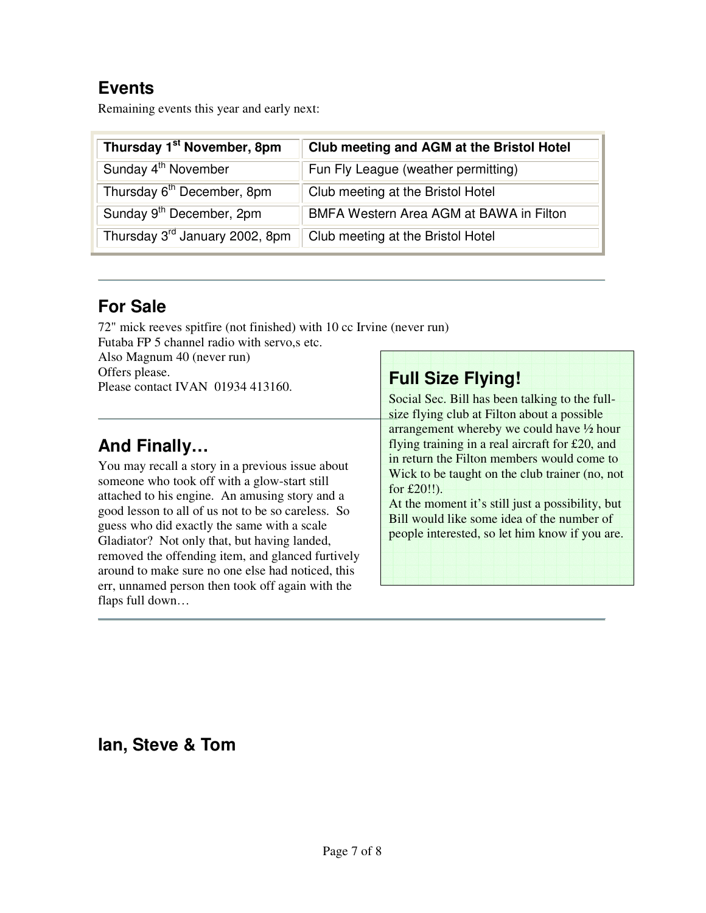### **Events**

Remaining events this year and early next:

| Thursday 1 <sup>st</sup> November, 8pm     | Club meeting and AGM at the Bristol Hotel |  |
|--------------------------------------------|-------------------------------------------|--|
| Sunday 4 <sup>th</sup> November            | Fun Fly League (weather permitting)       |  |
| Thursday 6 <sup>th</sup> December, 8pm     | Club meeting at the Bristol Hotel         |  |
| Sunday 9 <sup>th</sup> December, 2pm       | BMFA Western Area AGM at BAWA in Filton   |  |
| Thursday 3 <sup>rd</sup> January 2002, 8pm | Club meeting at the Bristol Hotel         |  |

### **For Sale**

72" mick reeves spitfire (not finished) with 10 cc Irvine (never run)

Futaba FP 5 channel radio with servo,s etc. Also Magnum 40 (never run) Offers please. Please contact IVAN 01934 413160.

### **And Finally…**

You may recall a story in a previous issue about someone who took off with a glow-start still attached to his engine. An amusing story and a good lesson to all of us not to be so careless. So guess who did exactly the same with a scale Gladiator? Not only that, but having landed, removed the offending item, and glanced furtively around to make sure no one else had noticed, this err, unnamed person then took off again with the flaps full down…

## **Full Size Flying!**

Social Sec. Bill has been talking to the fullsize flying club at Filton about a possible arrangement whereby we could have ½ hour flying training in a real aircraft for £20, and in return the Filton members would come to Wick to be taught on the club trainer (no, not for £20!!). At the moment it's still just a possibility, but

Bill would like some idea of the number of people interested, so let him know if you are.

### **Ian, Steve & Tom**